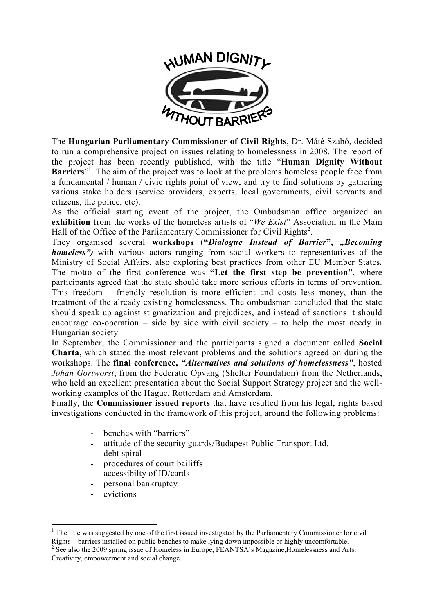

The **Hungarian Parliamentary Commissioner of Civil Rights**, Dr. Máté Szabó, decided to run a comprehensive project on issues relating to homelessness in 2008. The report of the project has been recently published, with the title "**Human Dignity Without**  Barriers"<sup>1</sup>. The aim of the project was to look at the problems homeless people face from a fundamental / human / civic rights point of view, and try to find solutions by gathering various stake holders (service providers, experts, local governments, civil servants and citizens, the police, etc).

As the official starting event of the project, the Ombudsman office organized an **exhibition** from the works of the homeless artists of "*We Exist*" Association in the Main Hall of the Office of the Parliamentary Commissioner for Civil Rights<sup>2</sup>.

They organised several **workshops** (**"***Dialogue Instead of Barrier***",** *"Becoming homeless*") with various actors ranging from social workers to representatives of the Ministry of Social Affairs, also exploring best practices from other EU Member States*.* The motto of the first conference was **"Let the first step be prevention"**, where participants agreed that the state should take more serious efforts in terms of prevention. This freedom – friendly resolution is more efficient and costs less money, than the treatment of the already existing homelessness. The ombudsman concluded that the state should speak up against stigmatization and prejudices, and instead of sanctions it should encourage co-operation – side by side with civil society – to help the most needy in Hungarian society.

In September, the Commissioner and the participants signed a document called **Social Charta**, which stated the most relevant problems and the solutions agreed on during the workshops. The **final conference,** *"Alternatives and solutions of homelessness"*, hosted *Johan Gortworst*, from the Federatie Opvang (Shelter Foundation) from the Netherlands, who held an excellent presentation about the Social Support Strategy project and the wellworking examples of the Hague, Rotterdam and Amsterdam.

Finally, the **Commissioner issued reports** that have resulted from his legal, rights based investigations conducted in the framework of this project, around the following problems:

- benches with "barriers"
- attitude of the security guards/Budapest Public Transport Ltd.
- debt spiral
- procedures of court bailiffs
- accessibilty of ID/cards
- personal bankruptcy
- evictions

<sup>&</sup>lt;u>.</u> <sup>1</sup> The title was suggested by one of the first issued investigated by the Parliamentary Commissioner for civil Rights – barriers installed on public benches to make lying down impossible or highly uncomfortable.

 $2^2$  See also the 2009 spring issue of Homeless in Europe, FEANTSA's Magazine, Homelessness and Arts: Creativity, empowerment and social change.